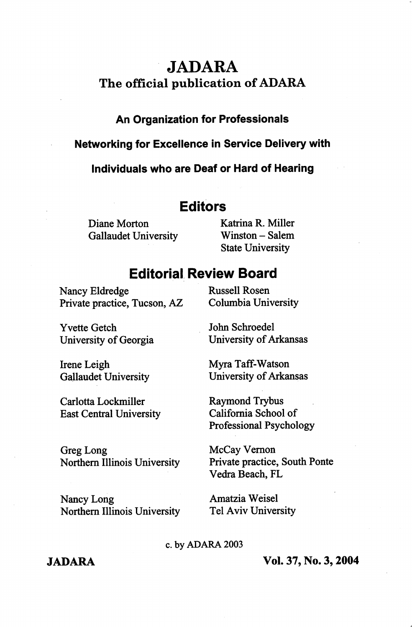# JADARA The official publication of ADARA

### An Organization for Professionais

#### Networking for Exceiience in Service Deiivery with

individuais who are Deaf or Hard of Hearing

## Editors

Diane Morton Katrina R. Miller<br>
Gallaudet University Winston – Salem Gallaudet University

State University

## Editorial Review Board

Nancy Eldredge Russell Rosen Private practice, Tucson, AZ Columbia University

Yvette Getch University of Georgia

Irene Leigh Gallaudet University

Carlotta Lockmiller East Central University John Schroedel

University of Arkansas

Myra Taff-Watson University of Arkansas

Raymond Trybus Califomia School of Professional Psychology

Greg Long Northern Illinois University

Nancy Long Northern Illinois University McCay Vemon Private practice. South Ponte Vedra Beach, FL

Amatzia Weisel Tel Aviv University

c. by ADARA 2003

JADARA Vol. 37, No. 3,2004